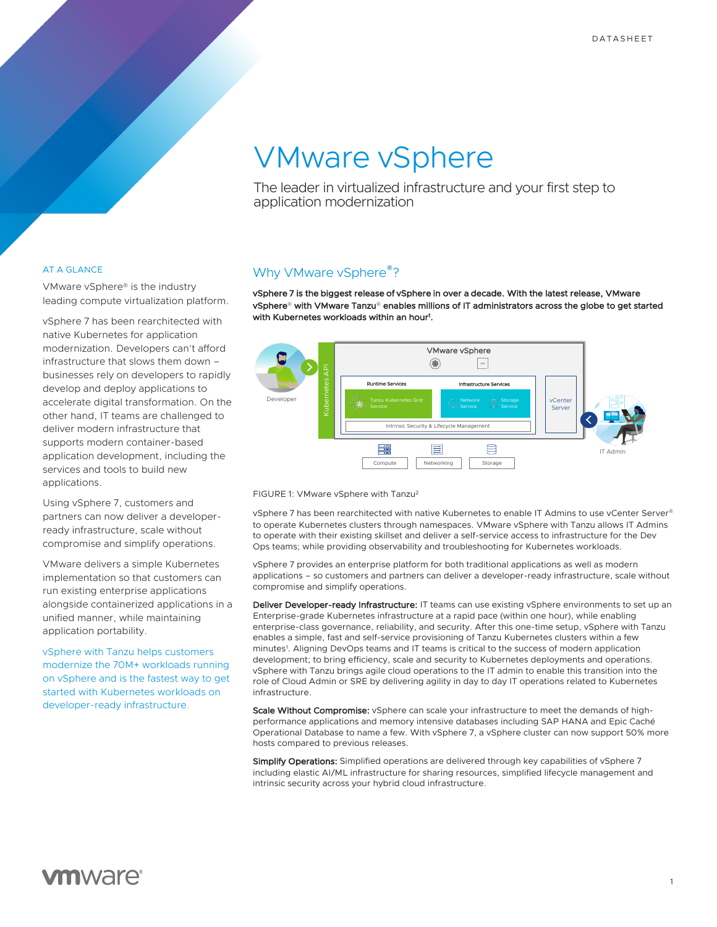# VMware vSphere

The leader in virtualized infrastructure and your first step to application modernization

### AT A GLANCE

VMware vSphere® is the industry leading compute virtualization platform.

vSphere 7 has been rearchitected with native Kubernetes for application modernization. Developers can't afford infrastructure that slows them down – businesses rely on developers to rapidly develop and deploy applications to accelerate digital transformation. On the other hand, IT teams are challenged to deliver modern infrastructure that supports modern container-based application development, including the services and tools to build new applications.

Using vSphere 7, customers and partners can now deliver a developerready infrastructure, scale without compromise and simplify operations.

VMware delivers a simple Kubernetes implementation so that customers can run existing enterprise applications alongside containerized applications in a unified manner, while maintaining application portability.

vSphere with Tanzu helps customers modernize the 70M+ workloads running on vSphere and is the fastest way to get started with Kubernetes workloads on developer-ready infrastructure.

## Why VMware vSphere<sup>®</sup>?

vSphere 7 is the biggest release of vSphere in over a decade. With the latest release, VMware vSphere® with VMware Tanzu® enables millions of IT administrators across the globe to get started<br>VSphere® with VMware Tanzu® enables millions of IT administrators across the globe to get started with Kubernetes workloads within an hour1 . Modernizes workloads within an noar.



**FIGURE 1: VMware vSphere with Tanzu<sup>2</sup>** *vSphere* with Tanz

vSphere 7 has been rearchitected with native Kubernetes to enable IT Admins to use vCenter Server® to operate Kubernetes clusters through namespaces. VMware vSphere with Tanzu allows IT Admins to operate with their existing skillset and deliver a self-service access to infrastructure for the Dev Ops teams; while providing observability and troubleshooting for Kubernetes workloads.

vSphere 7 provides an enterprise platform for both traditional applications as well as modern applications – so customers and partners can deliver a developer-ready infrastructure, scale without compromise and simplify operations.

Deliver Developer-ready Infrastructure: IT teams can use existing vSphere environments to set up an Enterprise-grade Kubernetes infrastructure at a rapid pace (within one hour), while enabling enterprise-class governance, reliability, and security. After this one-time setup, vSphere with Tanzu enables a simple, fast and self-service provisioning of Tanzu Kubernetes clusters within a few minutes<sup>1</sup>. Aligning DevOps teams and IT teams is critical to the success of modern application development; to bring efficiency, scale and security to Kubernetes deployments and operations. vSphere with Tanzu brings agile cloud operations to the IT admin to enable this transition into the role of Cloud Admin or SRE by delivering agility in day to day IT operations related to Kubernetes infrastructure.

Scale Without Compromise: vSphere can scale your infrastructure to meet the demands of highperformance applications and memory intensive databases including SAP HANA and Epic Caché Operational Database to name a few. With vSphere 7, a vSphere cluster can now support 50% more hosts compared to previous releases.

Simplify Operations: Simplified operations are delivered through key capabilities of vSphere 7 including elastic AI/ML infrastructure for sharing resources, simplified lifecycle management and intrinsic security across your hybrid cloud infrastructure.

# **vm**ware<sup>®</sup>